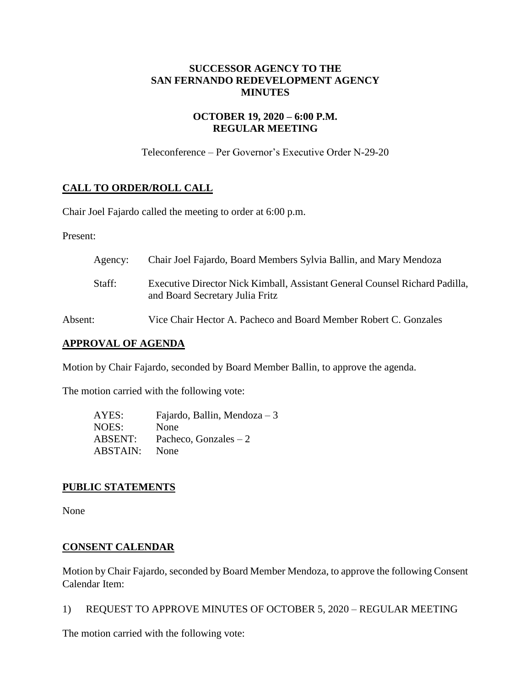## **SUCCESSOR AGENCY TO THE SAN FERNANDO REDEVELOPMENT AGENCY MINUTES**

## **OCTOBER 19, 2020 – 6:00 P.M. REGULAR MEETING**

Teleconference – Per Governor's Executive Order N-29-20

## **CALL TO ORDER/ROLL CALL**

Chair Joel Fajardo called the meeting to order at 6:00 p.m.

Present:

| Agency: | Chair Joel Fajardo, Board Members Sylvia Ballin, and Mary Mendoza                                              |
|---------|----------------------------------------------------------------------------------------------------------------|
| Staff:  | Executive Director Nick Kimball, Assistant General Counsel Richard Padilla,<br>and Board Secretary Julia Fritz |
| Absent: | Vice Chair Hector A. Pacheco and Board Member Robert C. Gonzales                                               |

## **APPROVAL OF AGENDA**

Motion by Chair Fajardo, seconded by Board Member Ballin, to approve the agenda.

The motion carried with the following vote:

AYES: Fajardo, Ballin, Mendoza – 3 NOES: None ABSENT: Pacheco, Gonzales – 2 ABSTAIN: None

### **PUBLIC STATEMENTS**

None

### **CONSENT CALENDAR**

Motion by Chair Fajardo, seconded by Board Member Mendoza, to approve the following Consent Calendar Item:

1) REQUEST TO APPROVE MINUTES OF OCTOBER 5, 2020 – REGULAR MEETING

The motion carried with the following vote: